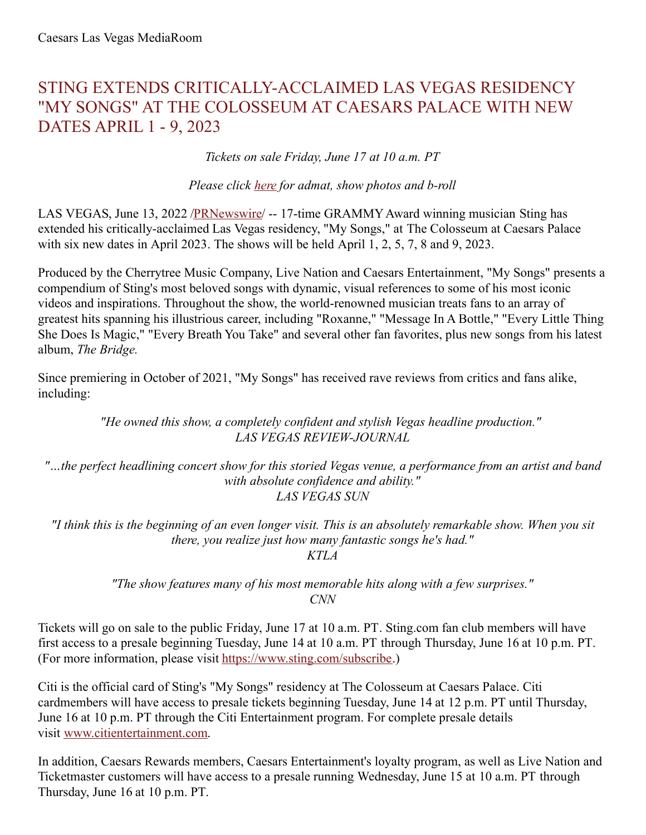# STING EXTENDS CRITICALLY-ACCLAIMED LAS VEGAS RESIDENCY "MY SONGS" AT THE COLOSSEUM AT CAESARS PALACE WITH NEW DATES APRIL 1 - 9, 2023

*Tickets on sale Friday, June 17 at 10 a.m. PT*

*Please click [here](https://c212.net/c/link/?t=0&l=en&o=3564842-1&h=2146954928&u=https%3A%2F%2Fwww.dropbox.com%2Fsh%2Fyml4u01ks1k76j8%2FAADJxlMfc_Ei_3dE5wFCks5Ga%3Fdl%3D0&a=here) for admat, show photos and b-roll*

LAS VEGAS, June 13, 2022 [/PRNewswire](http://www.prnewswire.com/)/ -- 17-time GRAMMYAward winning musician Sting has extended his critically-acclaimed Las Vegas residency, "My Songs," at The Colosseum at Caesars Palace with six new dates in April 2023. The shows will be held April 1, 2, 5, 7, 8 and 9, 2023.

Produced by the Cherrytree Music Company, Live Nation and Caesars Entertainment, "My Songs" presents a compendium of Sting's most beloved songs with dynamic, visual references to some of his most iconic videos and inspirations. Throughout the show, the world-renowned musician treats fans to an array of greatest hits spanning his illustrious career, including "Roxanne," "Message In A Bottle," "Every Little Thing She Does Is Magic," "Every Breath You Take" and several other fan favorites, plus new songs from his latest album, *The Bridge.*

Since premiering in October of 2021, "My Songs" has received rave reviews from critics and fans alike, including:

> *"He owned this show, a completely confident and stylish Vegas headline production." LAS VEGAS REVIEW-JOURNAL*

*"…the perfect headlining concert show for this storied Vegas venue, a performance from an artist and band with absolute confidence and ability." LAS VEGAS SUN*

"I think this is the beginning of an even longer visit. This is an absolutely remarkable show. When you sit *there, you realize just how many fantastic songs he's had."*

*KTLA*

*"The show features many of his most memorable hits along with a few surprises." CNN*

Tickets will go on sale to the public Friday, June 17 at 10 a.m. PT. Sting.com fan club members will have first access to a presale beginning Tuesday, June 14 at 10 a.m. PT through Thursday, June 16 at 10 p.m. PT. (For more information, please visit [https://www.sting.com/subscribe](https://c212.net/c/link/?t=0&l=en&o=3564842-1&h=1364742689&u=https%3A%2F%2Fwww.sting.com%2Fsubscribe&a=https%3A%2F%2Fwww.sting.com%2Fsubscribe).)

Citi is the official card of Sting's "My Songs" residency at The Colosseum at Caesars Palace. Citi cardmembers will have access to presale tickets beginning Tuesday, June 14 at 12 p.m. PT until Thursday, June 16 at 10 p.m. PT through the Citi Entertainment program. For complete presale details visit [www.citientertainment.com](https://c212.net/c/link/?t=0&l=en&o=3564842-1&h=3000532503&u=https%3A%2F%2Furldefense.com%2Fv3%2F__http%3A%2Fwww.citientertainment.com__%3B!!Jkho33Y!xLzhApfzZamBHjbxIraIK2zBhtu8kj4ApF96uROezVxRu7eGhA_aA0QxZdhxe5KS8bA%24&a=www.citientertainment.com).

In addition, Caesars Rewards members, Caesars Entertainment's loyalty program, as well as Live Nation and Ticketmaster customers will have access to a presale running Wednesday, June 15 at 10 a.m. PT through Thursday, June 16 at 10 p.m. PT.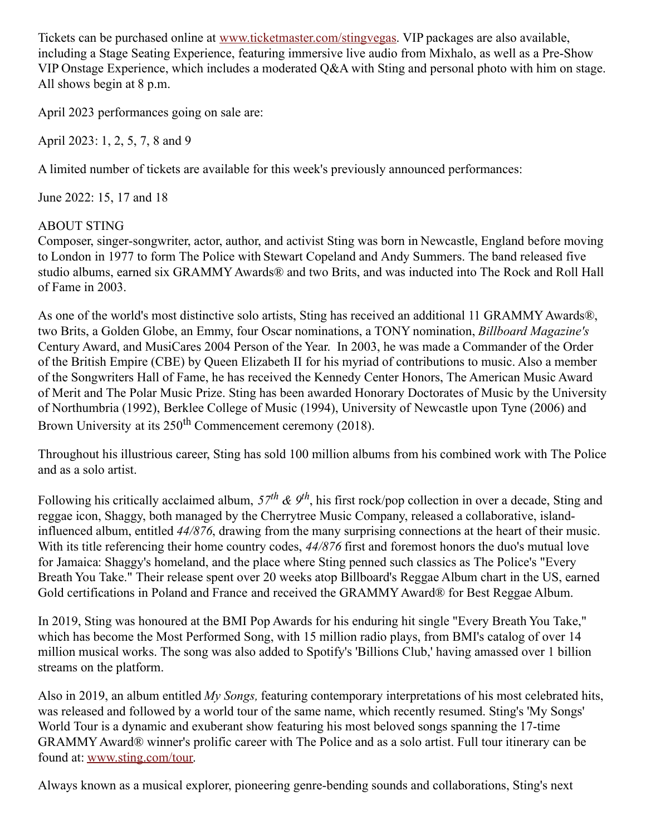Tickets can be purchased online at [www.ticketmaster.com/stingvegas](https://c212.net/c/link/?t=0&l=en&o=3564842-1&h=135932093&u=http%3A%2F%2Fwww.ticketmaster.com%2Fstingvegas&a=www.ticketmaster.com%2Fstingvegas). VIP packages are also available, including a Stage Seating Experience, featuring immersive live audio from Mixhalo, as well as a Pre-Show VIP Onstage Experience, which includes a moderated Q&A with Sting and personal photo with him on stage. All shows begin at 8 p.m.

April 2023 performances going on sale are:

April 2023: 1, 2, 5, 7, 8 and 9

A limited number of tickets are available for this week's previously announced performances:

June 2022: 15, 17 and 18

## ABOUT STING

Composer, singer-songwriter, actor, author, and activist Sting was born in Newcastle, England before moving to London in 1977 to form The Police with Stewart Copeland and Andy Summers. The band released five studio albums, earned six GRAMMYAwards® and two Brits, and was inducted into The Rock and Roll Hall of Fame in 2003.

As one of the world's most distinctive solo artists, Sting has received an additional 11 GRAMMY Awards®, two Brits, a Golden Globe, an Emmy, four Oscar nominations, a TONY nomination, *Billboard Magazine's* Century Award, and MusiCares 2004 Person of the Year. In 2003, he was made a Commander of the Order of the British Empire (CBE) by Queen Elizabeth II for his myriad of contributions to music. Also a member of the Songwriters Hall of Fame, he has received the Kennedy Center Honors, The American Music Award of Merit and The Polar Music Prize. Sting has been awarded Honorary Doctorates of Music by the University of Northumbria (1992), Berklee College of Music (1994), University of Newcastle upon Tyne (2006) and Brown University at its 250<sup>th</sup> Commencement ceremony (2018).

Throughout his illustrious career, Sting has sold 100 million albums from his combined work with The Police and as a solo artist.

Following his critically acclaimed album,  $57^{th}$  &  $9^{th}$ , his first rock/pop collection in over a decade, Sting and reggae icon, Shaggy, both managed by the Cherrytree Music Company, released a collaborative, islandinfluenced album, entitled *44/876*, drawing from the many surprising connections at the heart of their music. With its title referencing their home country codes, *44/876* first and foremost honors the duo's mutual love for Jamaica: Shaggy's homeland, and the place where Sting penned such classics as The Police's "Every Breath You Take." Their release spent over 20 weeks atop Billboard's Reggae Album chart in the US, earned Gold certifications in Poland and France and received the GRAMMYAward® for Best Reggae Album.

In 2019, Sting was honoured at the BMI Pop Awards for his enduring hit single "Every Breath You Take," which has become the Most Performed Song, with 15 million radio plays, from BMI's catalog of over 14 million musical works. The song was also added to Spotify's 'Billions Club,' having amassed over 1 billion streams on the platform.

Also in 2019, an album entitled *My Songs,* featuring contemporary interpretations of his most celebrated hits, was released and followed by a world tour of the same name, which recently resumed. Sting's 'My Songs' World Tour is a dynamic and exuberant show featuring his most beloved songs spanning the 17-time GRAMMYAward® winner's prolific career with The Police and as a solo artist. Full tour itinerary can be found at: [www.sting.com/tour](https://c212.net/c/link/?t=0&l=en&o=3564842-1&h=1900332981&u=http%3A%2F%2Fwww.sting.com%2Ftour&a=www.sting.com%2Ftour).

Always known as a musical explorer, pioneering genre-bending sounds and collaborations, Sting's next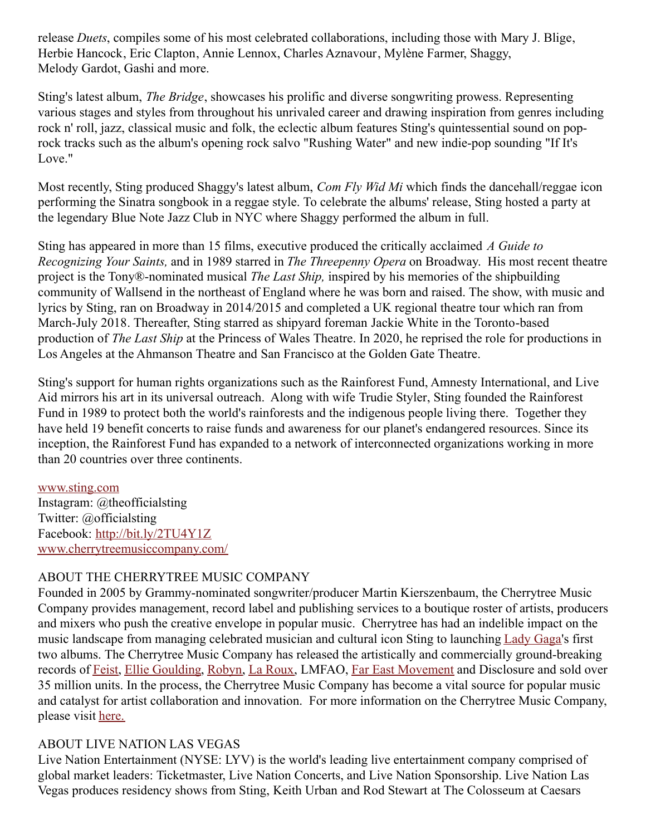release *Duets*, compiles some of his most celebrated collaborations, including those with Mary J. Blige, Herbie Hancock, Eric Clapton, Annie Lennox, Charles Aznavour, Mylène Farmer, Shaggy, Melody Gardot, Gashi and more.

Sting's latest album, *The Bridge*, showcases his prolific and diverse songwriting prowess. Representing various stages and styles from throughout his unrivaled career and drawing inspiration from genres including rock n' roll, jazz, classical music and folk, the eclectic album features Sting's quintessential sound on poprock tracks such as the album's opening rock salvo "Rushing Water" and new indie-pop sounding "If It's Love."

Most recently, Sting produced Shaggy's latest album, *Com Fly Wid Mi* which finds the dancehall/reggae icon performing the Sinatra songbook in a reggae style. To celebrate the albums' release, Sting hosted a party at the legendary Blue Note Jazz Club in NYC where Shaggy performed the album in full.

Sting has appeared in more than 15 films, executive produced the critically acclaimed *A Guide to Recognizing Your Saints,* and in 1989 starred in *The Threepenny Opera* on Broadway. His most recent theatre project is the Tony®-nominated musical *The Last Ship,* inspired by his memories of the shipbuilding community of Wallsend in the northeast of England where he was born and raised. The show, with music and lyrics by Sting, ran on Broadway in 2014/2015 and completed a UK regional theatre tour which ran from March-July 2018. Thereafter, Sting starred as shipyard foreman Jackie White in the Toronto-based production of *The Last Ship* at the Princess of Wales Theatre. In 2020, he reprised the role for productions in Los Angeles at the Ahmanson Theatre and San Francisco at the Golden Gate Theatre.

Sting's support for human rights organizations such as the Rainforest Fund, Amnesty International, and Live Aid mirrors his art in its universal outreach. Along with wife Trudie Styler, Sting founded the Rainforest Fund in 1989 to protect both the world's rainforests and the indigenous people living there. Together they have held 19 benefit concerts to raise funds and awareness for our planet's endangered resources. Since its inception, the Rainforest Fund has expanded to a network of interconnected organizations working in more than 20 countries over three continents.

#### [www.sting.com](https://c212.net/c/link/?t=0&l=en&o=3564842-1&h=2737080895&u=http%3A%2F%2Fwww.sting.com%2F&a=www.sting.com)

Instagram: @theofficialsting Twitter: @officialsting Facebook: [http://bit.ly/2TU4Y1Z](https://c212.net/c/link/?t=0&l=en&o=3564842-1&h=2883678334&u=http%3A%2F%2Fbit.ly%2F2TU4Y1Z&a=http%3A%2F%2Fbit.ly%2F2TU4Y1Z) [www.cherrytreemusiccompany.com/](https://c212.net/c/link/?t=0&l=en&o=3564842-1&h=1362073966&u=http%3A%2F%2Fwww.cherrytreemusiccompany.com%2F&a=www.cherrytreemusiccompany.com%2F)

#### ABOUT THE CHERRYTREE MUSIC COMPANY

Founded in 2005 by Grammy-nominated songwriter/producer Martin Kierszenbaum, the Cherrytree Music Company provides management, record label and publishing services to a boutique roster of artists, producers and mixers who push the creative envelope in popular music. Cherrytree has had an indelible impact on the music landscape from managing celebrated musician and cultural icon Sting to launching [Lady](x-apple-data-detectors://0/) Gaga's first two albums. The Cherrytree Music Company has released the artistically and commercially ground-breaking records of [Feist](x-apple-data-detectors://1/), Ellie [Goulding](x-apple-data-detectors://2/), [Robyn](x-apple-data-detectors://3/), La [Roux](x-apple-data-detectors://4/), LMFAO, Far East [Movement](x-apple-data-detectors://5/) and Disclosure and sold over 35 million units. In the process, the Cherrytree Music Company has become a vital source for popular music and catalyst for artist collaboration and innovation. For more information on the Cherrytree Music Company, please visit [here.](https://c212.net/c/link/?t=0&l=en&o=3564842-1&h=1824593654&u=https%3A%2F%2Fwww.dropbox.com%2Fs%2Fzbmdi1qdk5zoq8v%2FCherrytree%252015%2520Radio%2520Special.mp3%3Fdl%3D0&a=here.)

#### ABOUT LIVE NATION LAS VEGAS

Live Nation Entertainment (NYSE: LYV) is the world's leading live entertainment company comprised of global market leaders: Ticketmaster, Live Nation Concerts, and Live Nation Sponsorship. Live Nation Las Vegas produces residency shows from Sting, Keith Urban and Rod Stewart at The Colosseum at Caesars